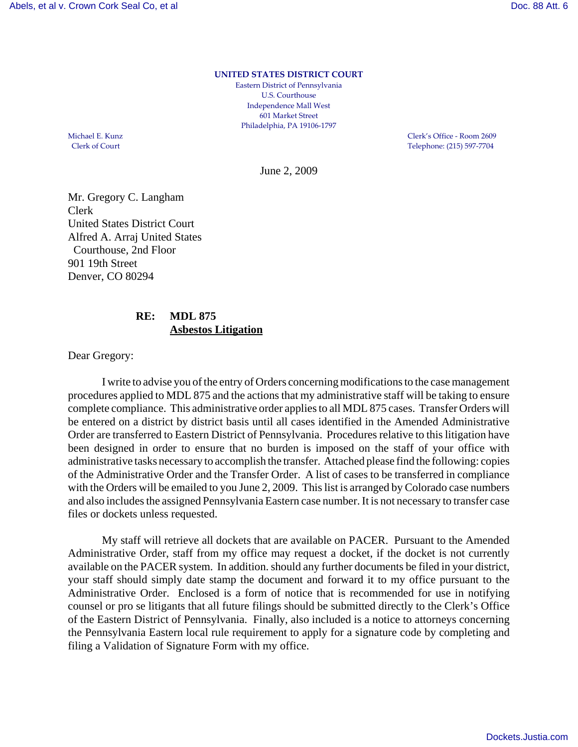**UNITED STATES DISTRICT COURT**

Eastern District of Pennsylvania U.S. Courthouse Independence Mall West 601 Market Street Philadelphia, PA 19106‐1797

Michael E. Kunz Clerk's Office - Room 2609<br>Clerk of Court Clerk's Office - Room 2609<br>Telephone: (215) 597-7704 Telephone: (215) 597-7704

June 2, 2009

Mr. Gregory C. Langham Clerk United States District Court Alfred A. Arraj United States Courthouse, 2nd Floor 901 19th Street Denver, CO 80294

## **RE: MDL 875 Asbestos Litigation**

Dear Gregory:

I write to advise you of the entry of Orders concerning modifications to the case management procedures applied to MDL 875 and the actions that my administrative staff will be taking to ensure complete compliance. This administrative order applies to all MDL 875 cases. Transfer Orders will be entered on a district by district basis until all cases identified in the Amended Administrative Order are transferred to Eastern District of Pennsylvania. Procedures relative to this litigation have been designed in order to ensure that no burden is imposed on the staff of your office with administrative tasks necessary to accomplish the transfer. Attached please find the following: copies of the Administrative Order and the Transfer Order. A list of cases to be transferred in compliance with the Orders will be emailed to you June 2, 2009. This list is arranged by Colorado case numbers and also includes the assigned Pennsylvania Eastern case number. It is not necessary to transfer case files or dockets unless requested.

My staff will retrieve all dockets that are available on PACER. Pursuant to the Amended Administrative Order, staff from my office may request a docket, if the docket is not currently available on the PACER system. In addition. should any further documents be filed in your district, your staff should simply date stamp the document and forward it to my office pursuant to the Administrative Order. Enclosed is a form of notice that is recommended for use in notifying counsel or pro se litigants that all future filings should be submitted directly to the Clerk's Office of the Eastern District of Pennsylvania. Finally, also included is a notice to attorneys concerning the Pennsylvania Eastern local rule requirement to apply for a signature code by completing and filing a Validation of Signature Form with my office.